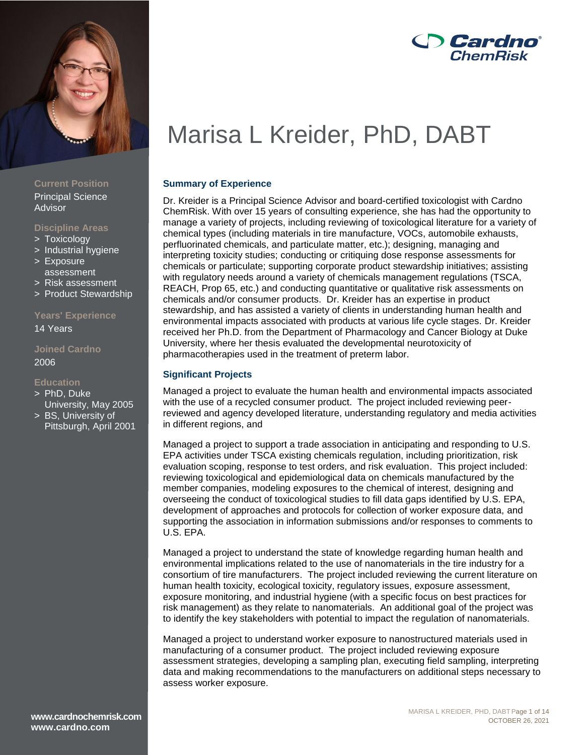

### **Current Position** Principal Science Advisor

### **Discipline Areas**

- > Toxicology
- > Industrial hygiene
- > Exposure assessment
- > Risk assessment
- > Product Stewardship

### **Years' Experience**

14 Years

### **Joined Cardno** 2006

### **Education**

- > PhD, Duke University, May 2005
- > BS, University of Pittsburgh, April 2001

# **D** Cardno® **ChemBisk**

# Marisa L Kreider, PhD, DABT

### **Summary of Experience**

Dr. Kreider is a Principal Science Advisor and board-certified toxicologist with Cardno ChemRisk. With over 15 years of consulting experience, she has had the opportunity to manage a variety of projects, including reviewing of toxicological literature for a variety of chemical types (including materials in tire manufacture, VOCs, automobile exhausts, perfluorinated chemicals, and particulate matter, etc.); designing, managing and interpreting toxicity studies; conducting or critiquing dose response assessments for chemicals or particulate; supporting corporate product stewardship initiatives; assisting with regulatory needs around a variety of chemicals management regulations (TSCA, REACH, Prop 65, etc.) and conducting quantitative or qualitative risk assessments on chemicals and/or consumer products. Dr. Kreider has an expertise in product stewardship, and has assisted a variety of clients in understanding human health and environmental impacts associated with products at various life cycle stages. Dr. Kreider received her Ph.D. from the Department of Pharmacology and Cancer Biology at Duke University, where her thesis evaluated the developmental neurotoxicity of pharmacotherapies used in the treatment of preterm labor.

### **Significant Projects**

Managed a project to evaluate the human health and environmental impacts associated with the use of a recycled consumer product. The project included reviewing peerreviewed and agency developed literature, understanding regulatory and media activities in different regions, and

Managed a project to support a trade association in anticipating and responding to U.S. EPA activities under TSCA existing chemicals regulation, including prioritization, risk evaluation scoping, response to test orders, and risk evaluation. This project included: reviewing toxicological and epidemiological data on chemicals manufactured by the member companies, modeling exposures to the chemical of interest, designing and overseeing the conduct of toxicological studies to fill data gaps identified by U.S. EPA, development of approaches and protocols for collection of worker exposure data, and supporting the association in information submissions and/or responses to comments to U.S. EPA.

Managed a project to understand the state of knowledge regarding human health and environmental implications related to the use of nanomaterials in the tire industry for a consortium of tire manufacturers. The project included reviewing the current literature on human health toxicity, ecological toxicity, regulatory issues, exposure assessment, exposure monitoring, and industrial hygiene (with a specific focus on best practices for risk management) as they relate to nanomaterials. An additional goal of the project was to identify the key stakeholders with potential to impact the regulation of nanomaterials.

Managed a project to understand worker exposure to nanostructured materials used in manufacturing of a consumer product. The project included reviewing exposure assessment strategies, developing a sampling plan, executing field sampling, interpreting data and making recommendations to the manufacturers on additional steps necessary to assess worker exposure.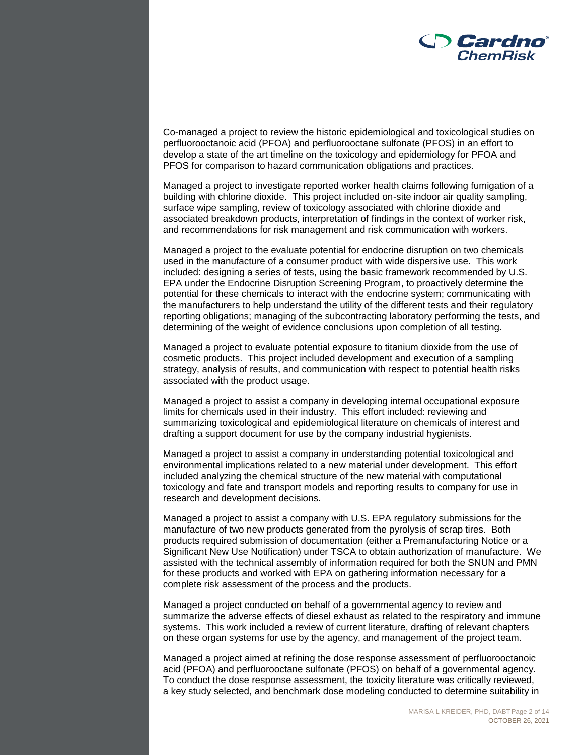

Co-managed a project to review the historic epidemiological and toxicological studies on perfluorooctanoic acid (PFOA) and perfluorooctane sulfonate (PFOS) in an effort to develop a state of the art timeline on the toxicology and epidemiology for PFOA and PFOS for comparison to hazard communication obligations and practices.

Managed a project to investigate reported worker health claims following fumigation of a building with chlorine dioxide. This project included on-site indoor air quality sampling, surface wipe sampling, review of toxicology associated with chlorine dioxide and associated breakdown products, interpretation of findings in the context of worker risk, and recommendations for risk management and risk communication with workers.

Managed a project to the evaluate potential for endocrine disruption on two chemicals used in the manufacture of a consumer product with wide dispersive use. This work included: designing a series of tests, using the basic framework recommended by U.S. EPA under the Endocrine Disruption Screening Program, to proactively determine the potential for these chemicals to interact with the endocrine system; communicating with the manufacturers to help understand the utility of the different tests and their regulatory reporting obligations; managing of the subcontracting laboratory performing the tests, and determining of the weight of evidence conclusions upon completion of all testing.

Managed a project to evaluate potential exposure to titanium dioxide from the use of cosmetic products. This project included development and execution of a sampling strategy, analysis of results, and communication with respect to potential health risks associated with the product usage.

Managed a project to assist a company in developing internal occupational exposure limits for chemicals used in their industry. This effort included: reviewing and summarizing toxicological and epidemiological literature on chemicals of interest and drafting a support document for use by the company industrial hygienists.

Managed a project to assist a company in understanding potential toxicological and environmental implications related to a new material under development. This effort included analyzing the chemical structure of the new material with computational toxicology and fate and transport models and reporting results to company for use in research and development decisions.

Managed a project to assist a company with U.S. EPA regulatory submissions for the manufacture of two new products generated from the pyrolysis of scrap tires. Both products required submission of documentation (either a Premanufacturing Notice or a Significant New Use Notification) under TSCA to obtain authorization of manufacture. We assisted with the technical assembly of information required for both the SNUN and PMN for these products and worked with EPA on gathering information necessary for a complete risk assessment of the process and the products.

Managed a project conducted on behalf of a governmental agency to review and summarize the adverse effects of diesel exhaust as related to the respiratory and immune systems. This work included a review of current literature, drafting of relevant chapters on these organ systems for use by the agency, and management of the project team.

Managed a project aimed at refining the dose response assessment of perfluorooctanoic acid (PFOA) and perfluorooctane sulfonate (PFOS) on behalf of a governmental agency. To conduct the dose response assessment, the toxicity literature was critically reviewed, a key study selected, and benchmark dose modeling conducted to determine suitability in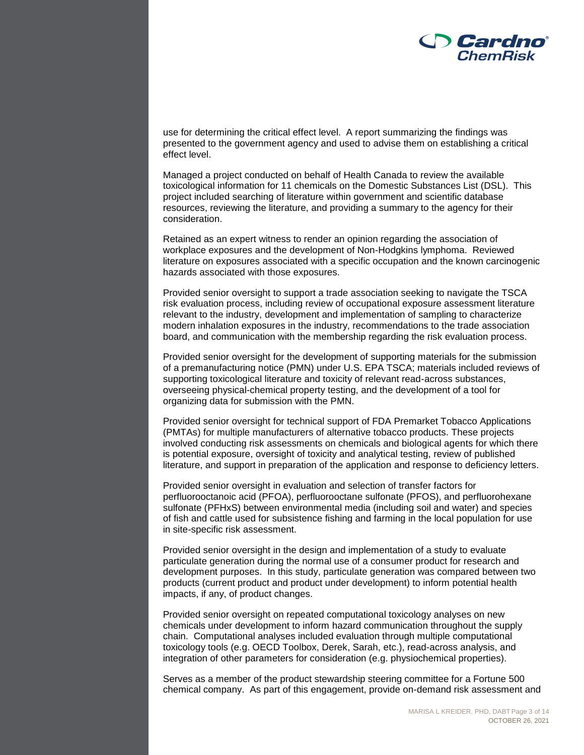

use for determining the critical effect level. A report summarizing the findings was presented to the government agency and used to advise them on establishing a critical effect level.

Managed a project conducted on behalf of Health Canada to review the available toxicological information for 11 chemicals on the Domestic Substances List (DSL). This project included searching of literature within government and scientific database resources, reviewing the literature, and providing a summary to the agency for their consideration.

Retained as an expert witness to render an opinion regarding the association of workplace exposures and the development of Non-Hodgkins lymphoma. Reviewed literature on exposures associated with a specific occupation and the known carcinogenic hazards associated with those exposures.

Provided senior oversight to support a trade association seeking to navigate the TSCA risk evaluation process, including review of occupational exposure assessment literature relevant to the industry, development and implementation of sampling to characterize modern inhalation exposures in the industry, recommendations to the trade association board, and communication with the membership regarding the risk evaluation process.

Provided senior oversight for the development of supporting materials for the submission of a premanufacturing notice (PMN) under U.S. EPA TSCA; materials included reviews of supporting toxicological literature and toxicity of relevant read-across substances, overseeing physical-chemical property testing, and the development of a tool for organizing data for submission with the PMN.

Provided senior oversight for technical support of FDA Premarket Tobacco Applications (PMTAs) for multiple manufacturers of alternative tobacco products. These projects involved conducting risk assessments on chemicals and biological agents for which there is potential exposure, oversight of toxicity and analytical testing, review of published literature, and support in preparation of the application and response to deficiency letters.

Provided senior oversight in evaluation and selection of transfer factors for perfluorooctanoic acid (PFOA), perfluorooctane sulfonate (PFOS), and perfluorohexane sulfonate (PFHxS) between environmental media (including soil and water) and species of fish and cattle used for subsistence fishing and farming in the local population for use in site-specific risk assessment.

Provided senior oversight in the design and implementation of a study to evaluate particulate generation during the normal use of a consumer product for research and development purposes. In this study, particulate generation was compared between two products (current product and product under development) to inform potential health impacts, if any, of product changes.

Provided senior oversight on repeated computational toxicology analyses on new chemicals under development to inform hazard communication throughout the supply chain. Computational analyses included evaluation through multiple computational toxicology tools (e.g. OECD Toolbox, Derek, Sarah, etc.), read-across analysis, and integration of other parameters for consideration (e.g. physiochemical properties).

Serves as a member of the product stewardship steering committee for a Fortune 500 chemical company. As part of this engagement, provide on-demand risk assessment and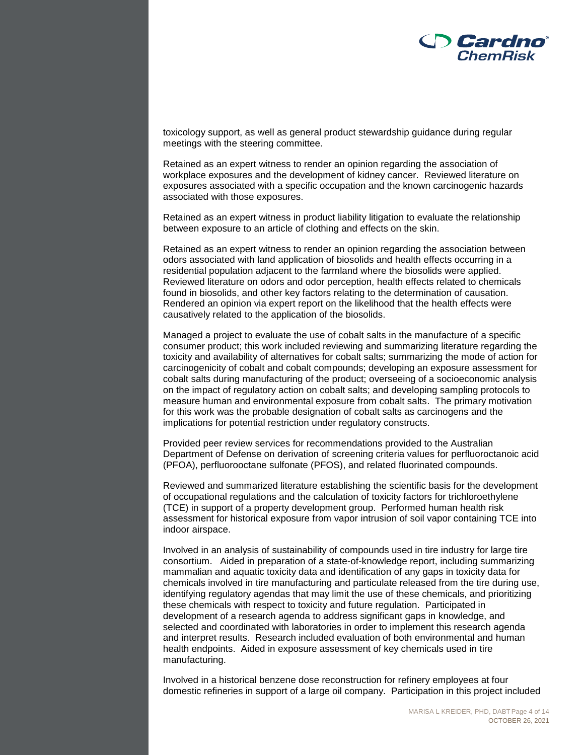

toxicology support, as well as general product stewardship guidance during regular meetings with the steering committee.

Retained as an expert witness to render an opinion regarding the association of workplace exposures and the development of kidney cancer. Reviewed literature on exposures associated with a specific occupation and the known carcinogenic hazards associated with those exposures.

Retained as an expert witness in product liability litigation to evaluate the relationship between exposure to an article of clothing and effects on the skin.

Retained as an expert witness to render an opinion regarding the association between odors associated with land application of biosolids and health effects occurring in a residential population adjacent to the farmland where the biosolids were applied. Reviewed literature on odors and odor perception, health effects related to chemicals found in biosolids, and other key factors relating to the determination of causation. Rendered an opinion via expert report on the likelihood that the health effects were causatively related to the application of the biosolids.

Managed a project to evaluate the use of cobalt salts in the manufacture of a specific consumer product; this work included reviewing and summarizing literature regarding the toxicity and availability of alternatives for cobalt salts; summarizing the mode of action for carcinogenicity of cobalt and cobalt compounds; developing an exposure assessment for cobalt salts during manufacturing of the product; overseeing of a socioeconomic analysis on the impact of regulatory action on cobalt salts; and developing sampling protocols to measure human and environmental exposure from cobalt salts. The primary motivation for this work was the probable designation of cobalt salts as carcinogens and the implications for potential restriction under regulatory constructs.

Provided peer review services for recommendations provided to the Australian Department of Defense on derivation of screening criteria values for perfluoroctanoic acid (PFOA), perfluorooctane sulfonate (PFOS), and related fluorinated compounds.

Reviewed and summarized literature establishing the scientific basis for the development of occupational regulations and the calculation of toxicity factors for trichloroethylene (TCE) in support of a property development group. Performed human health risk assessment for historical exposure from vapor intrusion of soil vapor containing TCE into indoor airspace.

Involved in an analysis of sustainability of compounds used in tire industry for large tire consortium. Aided in preparation of a state-of-knowledge report, including summarizing mammalian and aquatic toxicity data and identification of any gaps in toxicity data for chemicals involved in tire manufacturing and particulate released from the tire during use, identifying regulatory agendas that may limit the use of these chemicals, and prioritizing these chemicals with respect to toxicity and future regulation. Participated in development of a research agenda to address significant gaps in knowledge, and selected and coordinated with laboratories in order to implement this research agenda and interpret results. Research included evaluation of both environmental and human health endpoints. Aided in exposure assessment of key chemicals used in tire manufacturing.

Involved in a historical benzene dose reconstruction for refinery employees at four domestic refineries in support of a large oil company. Participation in this project included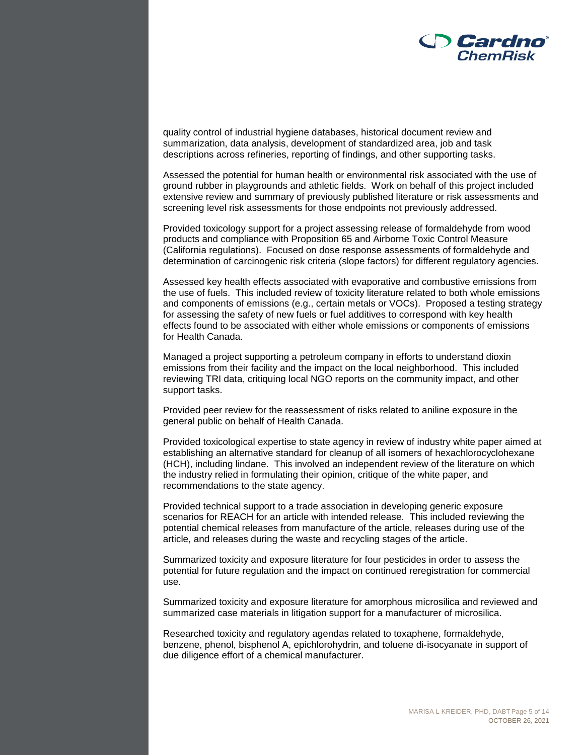

quality control of industrial hygiene databases, historical document review and summarization, data analysis, development of standardized area, job and task descriptions across refineries, reporting of findings, and other supporting tasks.

Assessed the potential for human health or environmental risk associated with the use of ground rubber in playgrounds and athletic fields. Work on behalf of this project included extensive review and summary of previously published literature or risk assessments and screening level risk assessments for those endpoints not previously addressed.

Provided toxicology support for a project assessing release of formaldehyde from wood products and compliance with Proposition 65 and Airborne Toxic Control Measure (California regulations). Focused on dose response assessments of formaldehyde and determination of carcinogenic risk criteria (slope factors) for different regulatory agencies.

Assessed key health effects associated with evaporative and combustive emissions from the use of fuels. This included review of toxicity literature related to both whole emissions and components of emissions (e.g., certain metals or VOCs). Proposed a testing strategy for assessing the safety of new fuels or fuel additives to correspond with key health effects found to be associated with either whole emissions or components of emissions for Health Canada.

Managed a project supporting a petroleum company in efforts to understand dioxin emissions from their facility and the impact on the local neighborhood. This included reviewing TRI data, critiquing local NGO reports on the community impact, and other support tasks.

Provided peer review for the reassessment of risks related to aniline exposure in the general public on behalf of Health Canada.

Provided toxicological expertise to state agency in review of industry white paper aimed at establishing an alternative standard for cleanup of all isomers of hexachlorocyclohexane (HCH), including lindane. This involved an independent review of the literature on which the industry relied in formulating their opinion, critique of the white paper, and recommendations to the state agency.

Provided technical support to a trade association in developing generic exposure scenarios for REACH for an article with intended release. This included reviewing the potential chemical releases from manufacture of the article, releases during use of the article, and releases during the waste and recycling stages of the article.

Summarized toxicity and exposure literature for four pesticides in order to assess the potential for future regulation and the impact on continued reregistration for commercial use.

Summarized toxicity and exposure literature for amorphous microsilica and reviewed and summarized case materials in litigation support for a manufacturer of microsilica.

Researched toxicity and regulatory agendas related to toxaphene, formaldehyde, benzene, phenol, bisphenol A, epichlorohydrin, and toluene di-isocyanate in support of due diligence effort of a chemical manufacturer.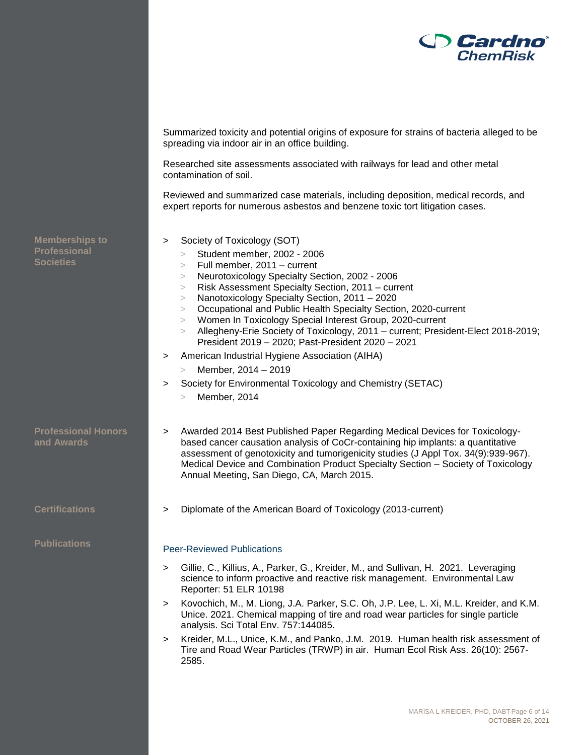

Summarized toxicity and potential origins of exposure for strains of bacteria alleged to be spreading via indoor air in an office building.

Researched site assessments associated with railways for lead and other metal contamination of soil.

Reviewed and summarized case materials, including deposition, medical records, and expert reports for numerous asbestos and benzene toxic tort litigation cases.

- > Society of Toxicology (SOT)
	- > Student member, 2002 2006
	- > Full member, 2011 current
	- > Neurotoxicology Specialty Section, 2002 2006
	- > Risk Assessment Specialty Section, 2011 current
	- > Nanotoxicology Specialty Section, 2011 2020
	- > Occupational and Public Health Specialty Section, 2020-current
	- > Women In Toxicology Special Interest Group, 2020-current
	- > Allegheny-Erie Society of Toxicology, 2011 current; President-Elect 2018-2019; President 2019 – 2020; Past-President 2020 – 2021
- > American Industrial Hygiene Association (AIHA)
	- > Member, 2014 2019
- > Society for Environmental Toxicology and Chemistry (SETAC)
	- > Member, 2014
- > Awarded 2014 Best Published Paper Regarding Medical Devices for Toxicologybased cancer causation analysis of CoCr-containing hip implants: a quantitative assessment of genotoxicity and tumorigenicity studies (J Appl Tox. 34(9):939-967). Medical Device and Combination Product Specialty Section – Society of Toxicology Annual Meeting, San Diego, CA, March 2015.
- **Certifications** > Diplomate of the American Board of Toxicology (2013-current)

## **Publications Peer-Reviewed Publications**

- > Gillie, C., Killius, A., Parker, G., Kreider, M., and Sullivan, H. 2021. Leveraging science to inform proactive and reactive risk management. Environmental Law Reporter: 51 ELR 10198
- > Kovochich, M., M. Liong, J.A. Parker, S.C. Oh, J.P. Lee, L. Xi, M.L. Kreider, and K.M. Unice. 2021. Chemical mapping of tire and road wear particles for single particle analysis. Sci Total Env. 757:144085.
- > Kreider, M.L., Unice, K.M., and Panko, J.M. 2019. Human health risk assessment of Tire and Road Wear Particles (TRWP) in air. Human Ecol Risk Ass. 26(10): 2567- 2585.

**Memberships to Professional Societies**

**Professional Honors and Awards**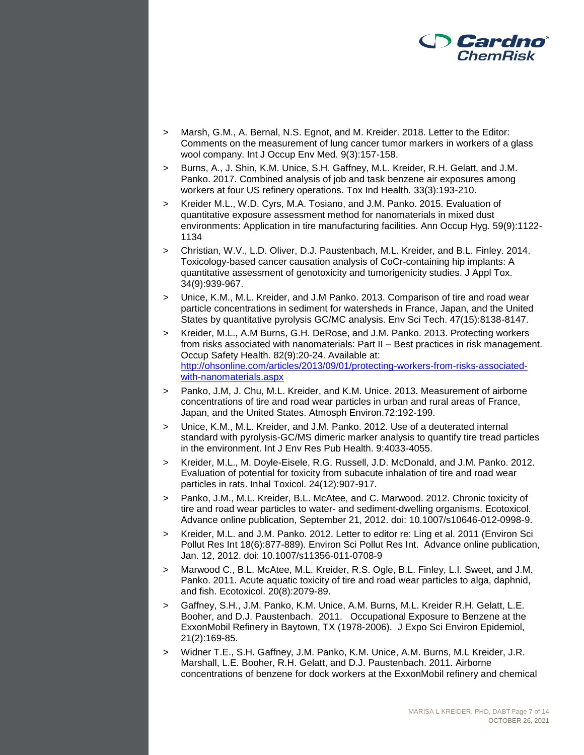

- > Marsh, G.M., A. Bernal, N.S. Egnot, and M. Kreider. 2018. Letter to the Editor: Comments on the measurement of lung cancer tumor markers in workers of a glass wool company. Int J Occup Env Med. 9(3):157-158.
- > Burns, A., J. Shin, K.M. Unice, S.H. Gaffney, M.L. Kreider, R.H. Gelatt, and J.M. Panko. 2017. Combined analysis of job and task benzene air exposures among workers at four US refinery operations. Tox Ind Health. 33(3):193-210.
- > Kreider M.L., W.D. Cyrs, M.A. Tosiano, and J.M. Panko. 2015. Evaluation of quantitative exposure assessment method for nanomaterials in mixed dust environments: Application in tire manufacturing facilities. Ann Occup Hyg. 59(9):1122- 1134
- > Christian, W.V., L.D. Oliver, D.J. Paustenbach, M.L. Kreider, and B.L. Finley. 2014. Toxicology-based cancer causation analysis of CoCr-containing hip implants: A quantitative assessment of genotoxicity and tumorigenicity studies. J Appl Tox. 34(9):939-967.
- > Unice, K.M., M.L. Kreider, and J.M Panko. 2013. Comparison of tire and road wear particle concentrations in sediment for watersheds in France, Japan, and the United States by quantitative pyrolysis GC/MC analysis. Env Sci Tech. 47(15):8138-8147.
- > Kreider, M.L., A.M Burns, G.H. DeRose, and J.M. Panko. 2013. Protecting workers from risks associated with nanomaterials: Part II – Best practices in risk management. Occup Safety Health. 82(9):20-24. Available at: [http://ohsonline.com/articles/2013/09/01/protecting-workers-from-risks-associated](http://ohsonline.com/articles/2013/09/01/protecting-workers-from-risks-associated-with-nanomaterials.aspx)[with-nanomaterials.aspx](http://ohsonline.com/articles/2013/09/01/protecting-workers-from-risks-associated-with-nanomaterials.aspx)
- Panko, J.M, J. Chu, M.L. Kreider, and K.M. Unice. 2013. Measurement of airborne concentrations of tire and road wear particles in urban and rural areas of France, Japan, and the United States. Atmosph Environ.72:192-199.
- > Unice, K.M., M.L. Kreider, and J.M. Panko. 2012. Use of a deuterated internal standard with pyrolysis-GC/MS dimeric marker analysis to quantify tire tread particles in the environment. Int J Env Res Pub Health. 9:4033-4055.
- > Kreider, M.L., M. Doyle-Eisele, R.G. Russell, J.D. McDonald, and J.M. Panko. 2012. Evaluation of potential for toxicity from subacute inhalation of tire and road wear particles in rats. Inhal Toxicol. 24(12):907-917.
- > Panko, J.M., M.L. Kreider, B.L. McAtee, and C. Marwood. 2012. Chronic toxicity of tire and road wear particles to water- and sediment-dwelling organisms. Ecotoxicol. Advance online publication, September 21, 2012. doi: 10.1007/s10646-012-0998-9.
- > Kreider, M.L. and J.M. Panko. 2012. Letter to editor re: Ling et al. 2011 (Environ Sci Pollut Res Int 18(6):877-889). Environ Sci Pollut Res Int. Advance online publication, Jan. 12, 2012. doi: 10.1007/s11356-011-0708-9
- > Marwood C., B.L. McAtee, M.L. Kreider, R.S. Ogle, B.L. Finley, L.I. Sweet, and J.M. Panko. 2011. Acute aquatic toxicity of tire and road wear particles to alga, daphnid, and fish. Ecotoxicol. 20(8):2079-89.
- > Gaffney, S.H., J.M. Panko, K.M. Unice, A.M. Burns, M.L. Kreider R.H. Gelatt, L.E. Booher, and D.J. Paustenbach. 2011. Occupational Exposure to Benzene at the ExxonMobil Refinery in Baytown, TX (1978-2006). J Expo Sci Environ Epidemiol, 21(2):169-85.
- > Widner T.E., S.H. Gaffney, J.M. Panko, K.M. Unice, A.M. Burns, M.L Kreider, J.R. Marshall, L.E. Booher, R.H. Gelatt, and D.J. Paustenbach. 2011. Airborne concentrations of benzene for dock workers at the ExxonMobil refinery and chemical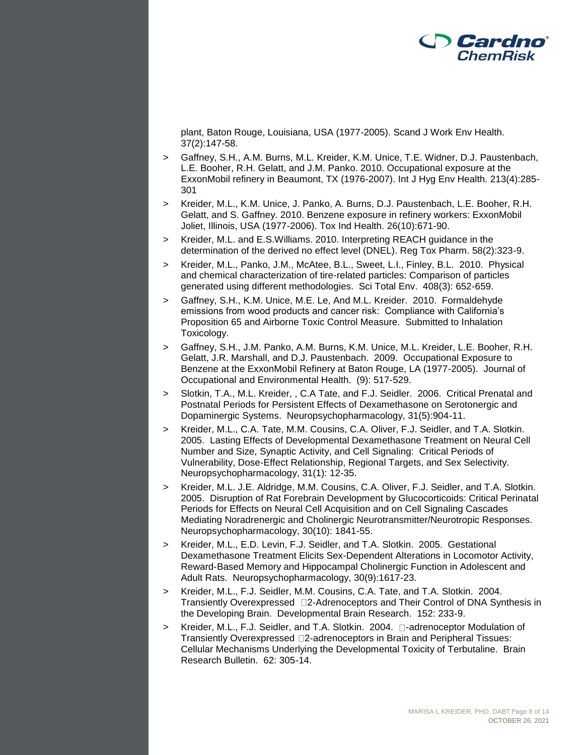

plant, Baton Rouge, Louisiana, USA (1977-2005). Scand J Work Env Health. 37(2):147-58.

- > Gaffney, S.H., A.M. Burns, M.L. Kreider, K.M. Unice, T.E. Widner, D.J. Paustenbach, L.E. Booher, R.H. Gelatt, and J.M. Panko. 2010. Occupational exposure at the ExxonMobil refinery in Beaumont, TX (1976-2007). Int J Hyg Env Health. 213(4):285- 301
- > Kreider, M.L., K.M. Unice, J. Panko, A. Burns, D.J. Paustenbach, L.E. Booher, R.H. Gelatt, and S. Gaffney. 2010. Benzene exposure in refinery workers: ExxonMobil Joliet, Illinois, USA (1977-2006). Tox Ind Health. 26(10):671-90.
- > Kreider, M.L. and E.S.Williams. 2010. Interpreting REACH guidance in the determination of the derived no effect level (DNEL). Reg Tox Pharm. 58(2):323-9.
- > Kreider, M.L., Panko, J.M., McAtee, B.L., Sweet, L.I., Finley, B.L. 2010. Physical and chemical characterization of tire-related particles: Comparison of particles generated using different methodologies. Sci Total Env. 408(3): 652-659.
- > Gaffney, S.H., K.M. Unice, M.E. Le, And M.L. Kreider. 2010. Formaldehyde emissions from wood products and cancer risk: Compliance with California's Proposition 65 and Airborne Toxic Control Measure. Submitted to Inhalation Toxicology.
- > Gaffney, S.H., J.M. Panko, A.M. Burns, K.M. Unice, M.L. Kreider, L.E. Booher, R.H. Gelatt, J.R. Marshall, and D.J. Paustenbach. 2009. Occupational Exposure to Benzene at the ExxonMobil Refinery at Baton Rouge, LA (1977-2005). Journal of Occupational and Environmental Health. (9): 517-529.
- > Slotkin, T.A., M.L. Kreider, , C.A Tate, and F.J. Seidler. 2006. Critical Prenatal and Postnatal Periods for Persistent Effects of Dexamethasone on Serotonergic and Dopaminergic Systems. Neuropsychopharmacology, 31(5):904-11.
- > Kreider, M.L., C.A. Tate, M.M. Cousins, C.A. Oliver, F.J. Seidler, and T.A. Slotkin. 2005. Lasting Effects of Developmental Dexamethasone Treatment on Neural Cell Number and Size, Synaptic Activity, and Cell Signaling: Critical Periods of Vulnerability, Dose-Effect Relationship, Regional Targets, and Sex Selectivity. Neuropsychopharmacology, 31(1): 12-35.
- > Kreider, M.L. J.E. Aldridge, M.M. Cousins, C.A. Oliver, F.J. Seidler, and T.A. Slotkin. 2005. Disruption of Rat Forebrain Development by Glucocorticoids: Critical Perinatal Periods for Effects on Neural Cell Acquisition and on Cell Signaling Cascades Mediating Noradrenergic and Cholinergic Neurotransmitter/Neurotropic Responses. Neuropsychopharmacology, 30(10): 1841-55.
- > Kreider, M.L., E.D. Levin, F.J. Seidler, and T.A. Slotkin. 2005. Gestational Dexamethasone Treatment Elicits Sex-Dependent Alterations in Locomotor Activity, Reward-Based Memory and Hippocampal Cholinergic Function in Adolescent and Adult Rats. Neuropsychopharmacology, 30(9):1617-23.
- > Kreider, M.L., F.J. Seidler, M.M. Cousins, C.A. Tate, and T.A. Slotkin. 2004. Transiently Overexpressed 2-Adrenoceptors and Their Control of DNA Synthesis in the Developing Brain. Developmental Brain Research. 152: 233-9.
- $>$  Kreider, M.L., F.J. Seidler, and T.A. Slotkin. 2004.  $\square$ -adrenoceptor Modulation of Transiently Overexpressed 2-adrenoceptors in Brain and Peripheral Tissues: Cellular Mechanisms Underlying the Developmental Toxicity of Terbutaline. Brain Research Bulletin. 62: 305-14.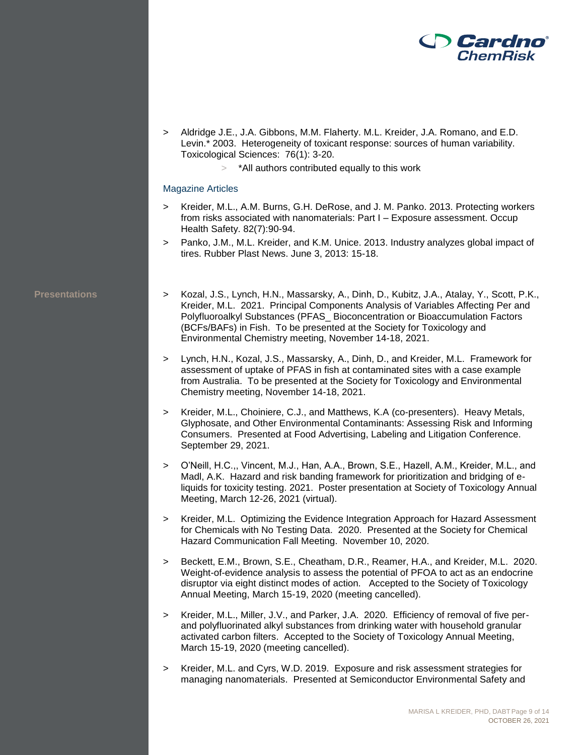

- > Aldridge J.E., J.A. Gibbons, M.M. Flaherty. M.L. Kreider, J.A. Romano, and E.D. Levin.\* 2003. Heterogeneity of toxicant response: sources of human variability. Toxicological Sciences: 76(1): 3-20.
	- > \*All authors contributed equally to this work

### Magazine Articles

- > Kreider, M.L., A.M. Burns, G.H. DeRose, and J. M. Panko. 2013. Protecting workers from risks associated with nanomaterials: Part I – Exposure assessment. Occup Health Safety. 82(7):90-94.
- > Panko, J.M., M.L. Kreider, and K.M. Unice. 2013. Industry analyzes global impact of tires. Rubber Plast News. June 3, 2013: 15-18.

- **Presentations** > Kozal, J.S., Lynch, H.N., Massarsky, A., Dinh, D., Kubitz, J.A., Atalay, Y., Scott, P.K., Kreider, M.L. 2021. Principal Components Analysis of Variables Affecting Per and Polyfluoroalkyl Substances (PFAS\_ Bioconcentration or Bioaccumulation Factors (BCFs/BAFs) in Fish. To be presented at the Society for Toxicology and Environmental Chemistry meeting, November 14-18, 2021.
	- > Lynch, H.N., Kozal, J.S., Massarsky, A., Dinh, D., and Kreider, M.L. Framework for assessment of uptake of PFAS in fish at contaminated sites with a case example from Australia. To be presented at the Society for Toxicology and Environmental Chemistry meeting, November 14-18, 2021.
	- > Kreider, M.L., Choiniere, C.J., and Matthews, K.A (co-presenters). Heavy Metals, Glyphosate, and Other Environmental Contaminants: Assessing Risk and Informing Consumers. Presented at Food Advertising, Labeling and Litigation Conference. September 29, 2021.
	- > O'Neill, H.C.,, Vincent, M.J., Han, A.A., Brown, S.E., Hazell, A.M., Kreider, M.L., and Madl, A.K. Hazard and risk banding framework for prioritization and bridging of eliquids for toxicity testing. 2021. Poster presentation at Society of Toxicology Annual Meeting, March 12-26, 2021 (virtual).
	- > Kreider, M.L. Optimizing the Evidence Integration Approach for Hazard Assessment for Chemicals with No Testing Data. 2020. Presented at the Society for Chemical Hazard Communication Fall Meeting. November 10, 2020.
	- > Beckett, E.M., Brown, S.E., Cheatham, D.R., Reamer, H.A., and Kreider, M.L. 2020. Weight-of-evidence analysis to assess the potential of PFOA to act as an endocrine disruptor via eight distinct modes of action. Accepted to the Society of Toxicology Annual Meeting, March 15-19, 2020 (meeting cancelled).
	- > Kreider, M.L., Miller, J.V., and Parker, J.A. 2020. Efficiency of removal of five perand polyfluorinated alkyl substances from drinking water with household granular activated carbon filters. Accepted to the Society of Toxicology Annual Meeting, March 15-19, 2020 (meeting cancelled).
	- > Kreider, M.L. and Cyrs, W.D. 2019. Exposure and risk assessment strategies for managing nanomaterials. Presented at Semiconductor Environmental Safety and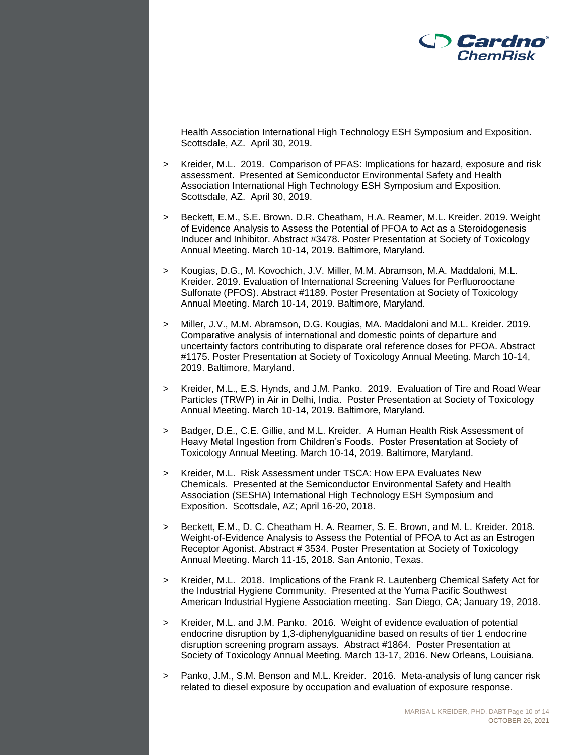

Health Association International High Technology ESH Symposium and Exposition. Scottsdale, AZ. April 30, 2019.

- > Kreider, M.L. 2019. Comparison of PFAS: Implications for hazard, exposure and risk assessment. Presented at Semiconductor Environmental Safety and Health Association International High Technology ESH Symposium and Exposition. Scottsdale, AZ. April 30, 2019.
- > Beckett, E.M., S.E. Brown. D.R. Cheatham, H.A. Reamer, M.L. Kreider. 2019. Weight of Evidence Analysis to Assess the Potential of PFOA to Act as a Steroidogenesis Inducer and Inhibitor. Abstract #3478. Poster Presentation at Society of Toxicology Annual Meeting. March 10-14, 2019. Baltimore, Maryland.
- > Kougias, D.G., M. Kovochich, J.V. Miller, M.M. Abramson, M.A. Maddaloni, M.L. Kreider. 2019. Evaluation of International Screening Values for Perfluorooctane Sulfonate (PFOS). Abstract #1189. Poster Presentation at Society of Toxicology Annual Meeting. March 10-14, 2019. Baltimore, Maryland.
- > Miller, J.V., M.M. Abramson, D.G. Kougias, MA. Maddaloni and M.L. Kreider. 2019. Comparative analysis of international and domestic points of departure and uncertainty factors contributing to disparate oral reference doses for PFOA. Abstract #1175. Poster Presentation at Society of Toxicology Annual Meeting. March 10-14, 2019. Baltimore, Maryland.
- > Kreider, M.L., E.S. Hynds, and J.M. Panko. 2019. Evaluation of Tire and Road Wear Particles (TRWP) in Air in Delhi, India. Poster Presentation at Society of Toxicology Annual Meeting. March 10-14, 2019. Baltimore, Maryland.
- Badger, D.E., C.E. Gillie, and M.L. Kreider. A Human Health Risk Assessment of Heavy Metal Ingestion from Children's Foods. Poster Presentation at Society of Toxicology Annual Meeting. March 10-14, 2019. Baltimore, Maryland.
- > Kreider, M.L. Risk Assessment under TSCA: How EPA Evaluates New Chemicals. Presented at the Semiconductor Environmental Safety and Health Association (SESHA) International High Technology ESH Symposium and Exposition. Scottsdale, AZ; April 16-20, 2018.
- > Beckett, E.M., D. C. Cheatham H. A. Reamer, S. E. Brown, and M. L. Kreider. 2018. Weight-of-Evidence Analysis to Assess the Potential of PFOA to Act as an Estrogen Receptor Agonist. Abstract # 3534. Poster Presentation at Society of Toxicology Annual Meeting. March 11-15, 2018. San Antonio, Texas.
- > Kreider, M.L. 2018. Implications of the Frank R. Lautenberg Chemical Safety Act for the Industrial Hygiene Community. Presented at the Yuma Pacific Southwest American Industrial Hygiene Association meeting. San Diego, CA; January 19, 2018.
- > Kreider, M.L. and J.M. Panko. 2016. Weight of evidence evaluation of potential endocrine disruption by 1,3-diphenylguanidine based on results of tier 1 endocrine disruption screening program assays. Abstract #1864. Poster Presentation at Society of Toxicology Annual Meeting. March 13-17, 2016. New Orleans, Louisiana.
- Panko, J.M., S.M. Benson and M.L. Kreider. 2016. Meta-analysis of lung cancer risk related to diesel exposure by occupation and evaluation of exposure response.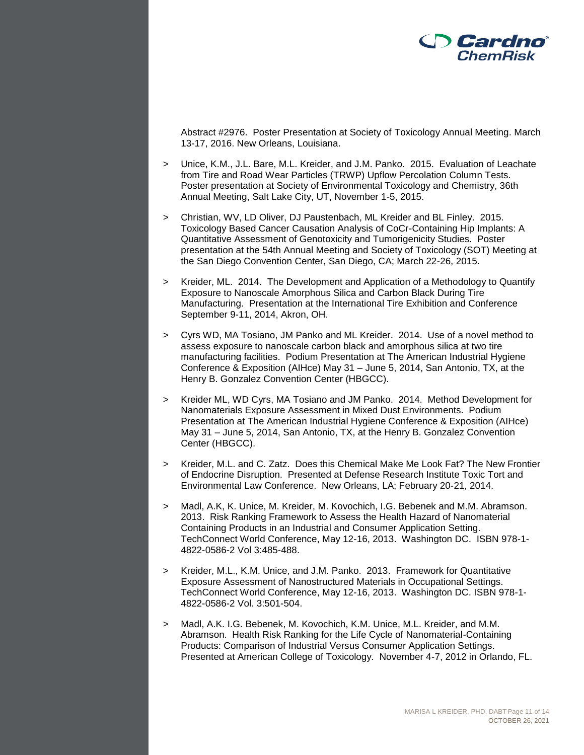

Abstract #2976. Poster Presentation at Society of Toxicology Annual Meeting. March 13-17, 2016. New Orleans, Louisiana.

- > Unice, K.M., J.L. Bare, M.L. Kreider, and J.M. Panko. 2015. Evaluation of Leachate from Tire and Road Wear Particles (TRWP) Upflow Percolation Column Tests. Poster presentation at Society of Environmental Toxicology and Chemistry, 36th Annual Meeting, Salt Lake City, UT, November 1-5, 2015.
- > Christian, WV, LD Oliver, DJ Paustenbach, ML Kreider and BL Finley. 2015. Toxicology Based Cancer Causation Analysis of CoCr-Containing Hip Implants: A Quantitative Assessment of Genotoxicity and Tumorigenicity Studies. Poster presentation at the 54th Annual Meeting and Society of Toxicology (SOT) Meeting at the San Diego Convention Center, San Diego, CA; March 22-26, 2015.
- > Kreider, ML. 2014. The Development and Application of a Methodology to Quantify Exposure to Nanoscale Amorphous Silica and Carbon Black During Tire Manufacturing. Presentation at the International Tire Exhibition and Conference September 9-11, 2014, Akron, OH.
- > Cyrs WD, MA Tosiano, JM Panko and ML Kreider. 2014. Use of a novel method to assess exposure to nanoscale carbon black and amorphous silica at two tire manufacturing facilities. Podium Presentation at The American Industrial Hygiene Conference & Exposition (AIHce) May 31 – June 5, 2014, San Antonio, TX, at the Henry B. Gonzalez Convention Center (HBGCC).
- > Kreider ML, WD Cyrs, MA Tosiano and JM Panko. 2014. Method Development for Nanomaterials Exposure Assessment in Mixed Dust Environments. Podium Presentation at The American Industrial Hygiene Conference & Exposition (AIHce) May 31 – June 5, 2014, San Antonio, TX, at the Henry B. Gonzalez Convention Center (HBGCC).
- > Kreider, M.L. and C. Zatz. Does this Chemical Make Me Look Fat? The New Frontier of Endocrine Disruption. Presented at Defense Research Institute Toxic Tort and Environmental Law Conference. New Orleans, LA; February 20-21, 2014.
- > Madl, A.K, K. Unice, M. Kreider, M. Kovochich, I.G. Bebenek and M.M. Abramson. 2013. Risk Ranking Framework to Assess the Health Hazard of Nanomaterial Containing Products in an Industrial and Consumer Application Setting. TechConnect World Conference, May 12-16, 2013. Washington DC. ISBN 978-1- 4822-0586-2 Vol 3:485-488.
- > Kreider, M.L., K.M. Unice, and J.M. Panko. 2013. Framework for Quantitative Exposure Assessment of Nanostructured Materials in Occupational Settings. TechConnect World Conference, May 12-16, 2013. Washington DC. ISBN 978-1- 4822-0586-2 Vol. 3:501-504.
- > Madl, A.K. I.G. Bebenek, M. Kovochich, K.M. Unice, M.L. Kreider, and M.M. Abramson. Health Risk Ranking for the Life Cycle of Nanomaterial-Containing Products: Comparison of Industrial Versus Consumer Application Settings. Presented at American College of Toxicology. November 4-7, 2012 in Orlando, FL.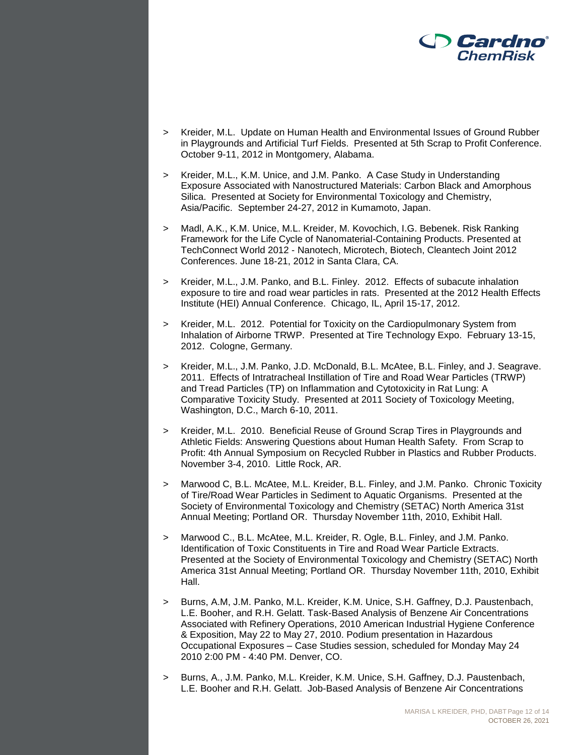

- > Kreider, M.L. Update on Human Health and Environmental Issues of Ground Rubber in Playgrounds and Artificial Turf Fields. Presented at 5th Scrap to Profit Conference. October 9-11, 2012 in Montgomery, Alabama.
- > Kreider, M.L., K.M. Unice, and J.M. Panko. A Case Study in Understanding Exposure Associated with Nanostructured Materials: Carbon Black and Amorphous Silica. Presented at Society for Environmental Toxicology and Chemistry, Asia/Pacific. September 24-27, 2012 in Kumamoto, Japan.
- > Madl, A.K., K.M. Unice, M.L. Kreider, M. Kovochich, I.G. Bebenek. Risk Ranking Framework for the Life Cycle of Nanomaterial-Containing Products. Presented at TechConnect World 2012 - Nanotech, Microtech, Biotech, Cleantech Joint 2012 Conferences. June 18-21, 2012 in Santa Clara, CA.
- > Kreider, M.L., J.M. Panko, and B.L. Finley. 2012. Effects of subacute inhalation exposure to tire and road wear particles in rats. Presented at the 2012 Health Effects Institute (HEI) Annual Conference. Chicago, IL, April 15-17, 2012.
- > Kreider, M.L. 2012. Potential for Toxicity on the Cardiopulmonary System from Inhalation of Airborne TRWP. Presented at Tire Technology Expo. February 13-15, 2012. Cologne, Germany.
- > Kreider, M.L., J.M. Panko, J.D. McDonald, B.L. McAtee, B.L. Finley, and J. Seagrave. 2011. Effects of Intratracheal Instillation of Tire and Road Wear Particles (TRWP) and Tread Particles (TP) on Inflammation and Cytotoxicity in Rat Lung: A Comparative Toxicity Study. Presented at 2011 Society of Toxicology Meeting, Washington, D.C., March 6-10, 2011.
- > Kreider, M.L. 2010. Beneficial Reuse of Ground Scrap Tires in Playgrounds and Athletic Fields: Answering Questions about Human Health Safety. From Scrap to Profit: 4th Annual Symposium on Recycled Rubber in Plastics and Rubber Products. November 3-4, 2010. Little Rock, AR.
- > Marwood C, B.L. McAtee, M.L. Kreider, B.L. Finley, and J.M. Panko. Chronic Toxicity of Tire/Road Wear Particles in Sediment to Aquatic Organisms. Presented at the Society of Environmental Toxicology and Chemistry (SETAC) North America 31st Annual Meeting; Portland OR. Thursday November 11th, 2010, Exhibit Hall.
- > Marwood C., B.L. McAtee, M.L. Kreider, R. Ogle, B.L. Finley, and J.M. Panko. Identification of Toxic Constituents in Tire and Road Wear Particle Extracts. Presented at the Society of Environmental Toxicology and Chemistry (SETAC) North America 31st Annual Meeting; Portland OR. Thursday November 11th, 2010, Exhibit Hall.
- > Burns, A.M, J.M. Panko, M.L. Kreider, K.M. Unice, S.H. Gaffney, D.J. Paustenbach, L.E. Booher, and R.H. Gelatt. Task-Based Analysis of Benzene Air Concentrations Associated with Refinery Operations, 2010 American Industrial Hygiene Conference & Exposition, May 22 to May 27, 2010. Podium presentation in Hazardous Occupational Exposures – Case Studies session, scheduled for Monday May 24 2010 2:00 PM - 4:40 PM. Denver, CO.
- > Burns, A., J.M. Panko, M.L. Kreider, K.M. Unice, S.H. Gaffney, D.J. Paustenbach, L.E. Booher and R.H. Gelatt. Job-Based Analysis of Benzene Air Concentrations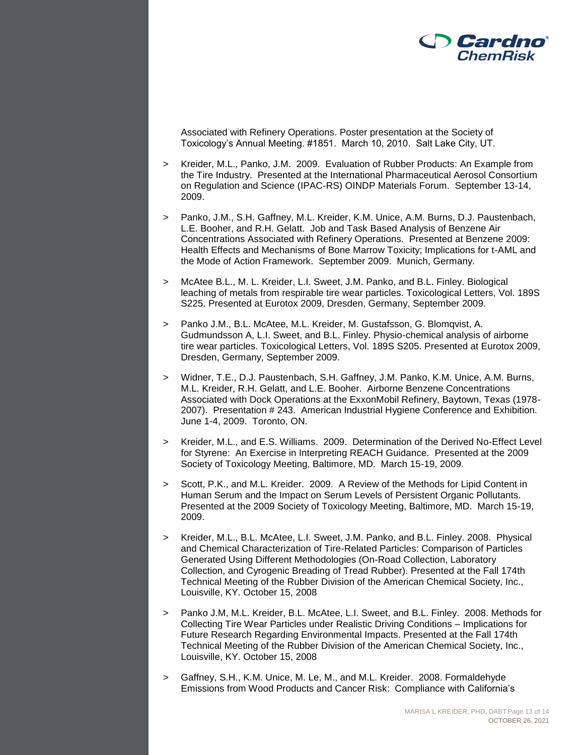

Associated with Refinery Operations. Poster presentation at the Society of Toxicology's Annual Meeting. #1851. March 10, 2010. Salt Lake City, UT.

- > Kreider, M.L., Panko, J.M. 2009. Evaluation of Rubber Products: An Example from the Tire Industry. Presented at the International Pharmaceutical Aerosol Consortium on Regulation and Science (IPAC-RS) OINDP Materials Forum. September 13-14, 2009.
- > Panko, J.M., S.H. Gaffney, M.L. Kreider, K.M. Unice, A.M. Burns, D.J. Paustenbach, L.E. Booher, and R.H. Gelatt. Job and Task Based Analysis of Benzene Air Concentrations Associated with Refinery Operations. Presented at Benzene 2009: Health Effects and Mechanisms of Bone Marrow Toxicity; Implications for t-AML and the Mode of Action Framework. September 2009. Munich, Germany.
- > McAtee B.L., M. L. Kreider, L.I. Sweet, J.M. Panko, and B.L. Finley. Biological leaching of metals from respirable tire wear particles. Toxicological Letters, Vol. 189S S225. Presented at Eurotox 2009, Dresden, Germany, September 2009.
- > Panko J.M., B.L. McAtee, M.L. Kreider, M. Gustafsson, G. Blomqvist, A. Gudmundsson A, L.I. Sweet, and B.L. Finley. Physio-chemical analysis of airborne tire wear particles. Toxicological Letters, Vol. 189S S205. Presented at Eurotox 2009, Dresden, Germany, September 2009.
- > Widner, T.E., D.J. Paustenbach, S.H. Gaffney, J.M. Panko, K.M. Unice, A.M. Burns, M.L. Kreider, R.H. Gelatt, and L.E. Booher. Airborne Benzene Concentrations Associated with Dock Operations at the ExxonMobil Refinery, Baytown, Texas (1978- 2007). Presentation # 243. American Industrial Hygiene Conference and Exhibition. June 1-4, 2009. Toronto, ON.
- > Kreider, M.L., and E.S. Williams. 2009. Determination of the Derived No-Effect Level for Styrene: An Exercise in Interpreting REACH Guidance. Presented at the 2009 Society of Toxicology Meeting, Baltimore, MD. March 15-19, 2009.
- > Scott, P.K., and M.L. Kreider. 2009. A Review of the Methods for Lipid Content in Human Serum and the Impact on Serum Levels of Persistent Organic Pollutants. Presented at the 2009 Society of Toxicology Meeting, Baltimore, MD. March 15-19, 2009.
- > Kreider, M.L., B.L. McAtee, L.I. Sweet, J.M. Panko, and B.L. Finley. 2008. Physical and Chemical Characterization of Tire-Related Particles: Comparison of Particles Generated Using Different Methodologies (On-Road Collection, Laboratory Collection, and Cyrogenic Breading of Tread Rubber). Presented at the Fall 174th Technical Meeting of the Rubber Division of the American Chemical Society, Inc., Louisville, KY. October 15, 2008
- Panko J.M, M.L. Kreider, B.L. McAtee, L.I. Sweet, and B.L. Finley. 2008. Methods for Collecting Tire Wear Particles under Realistic Driving Conditions – Implications for Future Research Regarding Environmental Impacts. Presented at the Fall 174th Technical Meeting of the Rubber Division of the American Chemical Society, Inc., Louisville, KY. October 15, 2008
- > Gaffney, S.H., K.M. Unice, M. Le, M., and M.L. Kreider. 2008. Formaldehyde Emissions from Wood Products and Cancer Risk: Compliance with California's